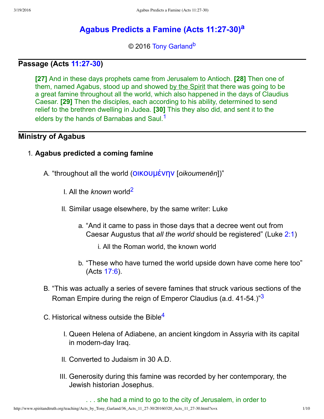# **[Agabus Predicts a Famine \(Acts 11:2730\)](http://www.spiritandtruth.org/teaching/Acts_by_Tony_Garland/36_Acts_11_27-30/index.htm)[a](#page-9-0)**

<span id="page-0-5"></span><span id="page-0-4"></span><span id="page-0-0"></span>© 2016 [Tony Garland](http://www.spiritandtruth.org/id/tg.htm)<sup>[b](#page-9-1)</sup>

### **Passage (Acts [11:2730](http://www.spiritandtruth.org/bibles/nasb/b44c011.htm#Acts_C11V27))**

**[27]** And in these days prophets came from Jerusalem to Antioch. **[28]** Then one of them, named Agabus, stood up and showed by the Spirit that there was going to be a great famine throughout all the world, which also happened in the days of Claudius Caesar. **[29]** Then the disciples, each according to his ability, determined to send relief to the brethren dwelling in Judea. **[30]** This they also did, and sent it to the elders by the hands of Barnabas and Saul.<sup>[1](#page-9-2)</sup>

#### **Ministry of Agabus**

#### 1. **Agabus predicted a coming famine**

- <span id="page-0-1"></span>A. "throughout all the world (ΟΙΚΟUμένην [oikoumenēn])"
	- I. All the *known* world[2](#page-9-3)
	- II. Similar usage elsewhere, by the same writer: Luke
		- a. "And it came to pass in those days that a decree went out from Caesar Augustus that *all the world* should be registered" (Luke [2:1\)](http://www.spiritandtruth.org/bibles/nasb/b42c002.htm#Luke_C2V1)
			- i. All the Roman world, the known world
		- b. "These who have turned the world upside down have come here too" (Acts [17:6\)](http://www.spiritandtruth.org/bibles/nasb/b44c017.htm#Acts_C17V6).
- B. "This was actually a series of severe famines that struck various sections of the Roman Empire during the reign of Emperor Claudius (a.d. 41-54.)"[3](#page-9-4)
- C. Historical witness outside the Bible[4](#page-9-5)
	- I. Queen Helena of Adiabene, an ancient kingdom in Assyria with its capital in modern-day Iraq.
	- II. Converted to Judaism in 30 A.D.
	- III. Generosity during this famine was recorded by her contemporary, the Jewish historian Josephus.

<span id="page-0-3"></span><span id="page-0-2"></span>. . . she had a mind to go to the city of Jerusalem, in order to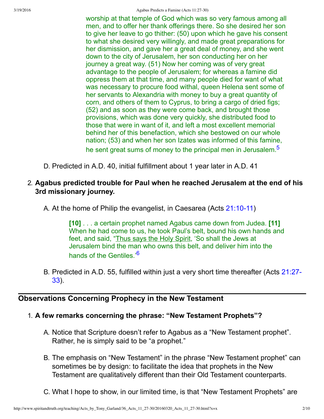worship at that temple of God which was so very famous among all men, and to offer her thank offerings there. So she desired her son to give her leave to go thither: (50) upon which he gave his consent to what she desired very willingly, and made great preparations for her dismission, and gave her a great deal of money, and she went down to the city of Jerusalem, her son conducting her on her journey a great way. (51) Now her coming was of very great advantage to the people of Jerusalem; for whereas a famine did oppress them at that time, and many people died for want of what was necessary to procure food withal, queen Helena sent some of her servants to Alexandria with money to buy a great quantity of corn, and others of them to Cyprus, to bring a cargo of dried figs; (52) and as soon as they were come back, and brought those provisions, which was done very quickly, she distributed food to those that were in want of it, and left a most excellent memorial behind her of this benefaction, which she bestowed on our whole nation; (53) and when her son Izates was informed of this famine, he sent great sums of money to the principal men in Jerusalem.<sup>[5](#page-9-6)</sup>

D. Predicted in A.D. 40, initial fulfillment about 1 year later in A.D. 41

### 2. **Agabus predicted trouble for Paul when he reached Jerusalem at the end of his 3rd missionary journey.**

A. At the home of Philip the evangelist, in Caesarea (Acts 21:10-11)

<span id="page-1-1"></span><span id="page-1-0"></span>**[10]** . . . a certain prophet named Agabus came down from Judea. **[11]** When he had come to us, he took Paul's belt, bound his own hands and feet, and said, "Thus says the Holy Spirit, 'So shall the Jews at Jerusalem bind the man who owns this belt, and deliver him into the hands of the Gentiles.<sup>'[6](#page-9-7)</sup>

B. [Predicted in A.D. 55, fulfilled within just a very short time thereafter \(Acts 21:27](http://www.spiritandtruth.org/bibles/nasb/b44c021.htm#Acts_C21V27)-33).

# **Observations Concerning Prophecy in the New Testament**

#### 1. **A few remarks concerning the phrase: "New Testament Prophets"?**

- A. Notice that Scripture doesn't refer to Agabus as a "New Testament prophet". Rather, he is simply said to be "a prophet."
- B. The emphasis on "New Testament" in the phrase "New Testament prophet" can sometimes be by design: to facilitate the idea that prophets in the New Testament are qualitatively different than their Old Testament counterparts.
- C. What I hope to show, in our limited time, is that "New Testament Prophets" are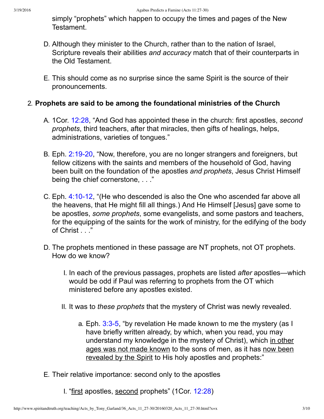simply "prophets" which happen to occupy the times and pages of the New Testament.

- D. Although they minister to the Church, rather than to the nation of Israel, Scripture reveals their abilities *and accuracy* match that of their counterparts in the Old Testament.
- E. This should come as no surprise since the same Spirit is the source of their pronouncements.

## 2. **Prophets are said to be among the foundational ministries of the Church**

- A. 1Cor. [12:28,](http://www.spiritandtruth.org/bibles/nasb/b46c012.htm#1Cor._C12V28) "And God has appointed these in the church: first apostles, *second prophets*, third teachers, after that miracles, then gifts of healings, helps, administrations, varieties of tongues."
- B. Eph. 2:19-20, "Now, therefore, you are no longer strangers and foreigners, but fellow citizens with the saints and members of the household of God, having been built on the foundation of the apostles *and prophets*, Jesus Christ Himself being the chief cornerstone, ..."
- C. Eph. 4:10-12, "(He who descended is also the One who ascended far above all the heavens, that He might fill all things.) And He Himself [Jesus] gave some to be apostles, *some prophets*, some evangelists, and some pastors and teachers, for the equipping of the saints for the work of ministry, for the edifying of the body of Christ . . ."
- D. The prophets mentioned in these passage are NT prophets, not OT prophets. How do we know?
	- I. In each of the previous passages, prophets are listed *after* apostles—which would be odd if Paul was referring to prophets from the OT which ministered before any apostles existed.
	- II. It was to *these prophets* that the mystery of Christ was newly revealed.
		- a. Eph.  $3:3-5$ , "by revelation He made known to me the mystery (as I have briefly written already, by which, when you read, you may understand my knowledge in the mystery of Christ), which in other ages was not made known to the sons of men, as it has now been revealed by the Spirit to His holy apostles and prophets:"
- E. Their relative importance: second only to the apostles
	- I. "first apostles, second prophets" (1Cor. [12:28](http://www.spiritandtruth.org/bibles/nasb/b46c012.htm#1Cor._C12V28))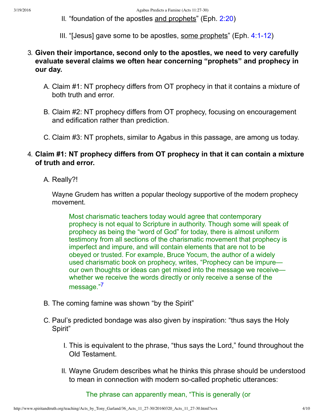- II. "foundation of the apostles and prophets" (Eph. [2:20](http://www.spiritandtruth.org/bibles/nasb/b49c002.htm#Eph._C2V20))
- III. "[Jesus] gave some to be apostles, some prophets" (Eph.  $4:1-12$ )
- 3. **Given their importance, second only to the apostles, we need to very carefully evaluate several claims we often hear concerning "prophets" and prophecy in our day.**
	- A. Claim #1: NT prophecy differs from OT prophecy in that it contains a mixture of both truth and error.
	- B. Claim #2: NT prophecy differs from OT prophecy, focusing on encouragement and edification rather than prediction.
	- C. Claim #3: NT prophets, similar to Agabus in this passage, are among us today.

#### 4. **Claim #1: NT prophecy differs from OT prophecy in that it can contain a mixture of truth and error.**

A. Really?!

Wayne Grudem has written a popular theology supportive of the modern prophecy movement.

Most charismatic teachers today would agree that contemporary prophecy is not equal to Scripture in authority. Though some will speak of prophecy as being the "word of God" for today, there is almost uniform testimony from all sections of the charismatic movement that prophecy is imperfect and impure, and will contain elements that are not to be obeyed or trusted. For example, Bruce Yocum, the author of a widely used charismatic book on prophecy, writes, "Prophecy can be impure our own thoughts or ideas can get mixed into the message we receive whether we receive the words directly or only receive a sense of the message."[7](#page-9-8)

- <span id="page-3-0"></span>B. The coming famine was shown "by the Spirit"
- C. Paul's predicted bondage was also given by inspiration: "thus says the Holy Spirit"
	- I. This is equivalent to the phrase, "thus says the Lord," found throughout the Old Testament.
	- II. Wayne Grudem describes what he thinks this phrase should be understood to mean in connection with modern so-called prophetic utterances:

The phrase can apparently mean, "This is generally (or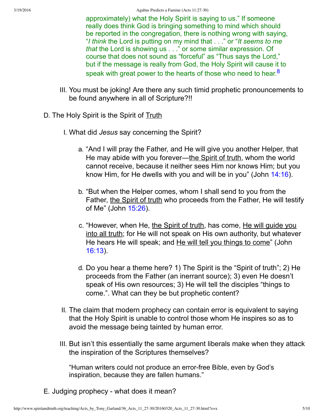<span id="page-4-0"></span>approximately) what the Holy Spirit is saying to us." If someone really does think God is bringing something to mind which should be reported in the congregation, there is nothing wrong with saying, "*I think* the Lord is putting on my mind that . . ." or "*It seems to me that* the Lord is showing us . . ." or some similar expression. Of course that does not sound as "forceful" as "Thus says the Lord," but if the message is really from God, the Holy Spirit will cause it to speak with great power to the hearts of those who need to hear.<sup>[8](#page-9-9)</sup>

- III. You must be joking! Are there any such timid prophetic pronouncements to be found anywhere in all of Scripture?!!
- D. The Holy Spirit is the Spirit of Truth
	- I. What did *Jesus* say concerning the Spirit?
		- a. "And I will pray the Father, and He will give you another Helper, that He may abide with you forever—the Spirit of truth, whom the world cannot receive, because it neither sees Him nor knows Him; but you know Him, for He dwells with you and will be in you" (John [14:16\)](http://www.spiritandtruth.org/bibles/nasb/b43c014.htm#John_C14V16).
		- b. "But when the Helper comes, whom I shall send to you from the Father, the Spirit of truth who proceeds from the Father, He will testify of Me" (John [15:26](http://www.spiritandtruth.org/bibles/nasb/b43c015.htm#John_C15V26)).
		- c. "However, when He, the Spirit of truth, has come, He will quide you into all truth; for He will not speak on His own authority, but whatever He hears He will speak; and He will tell you things to come" (John [16:13](http://www.spiritandtruth.org/bibles/nasb/b43c016.htm#John_C16V13)).
		- d. Do you hear a theme here? 1) The Spirit is the "Spirit of truth"; 2) He proceeds from the Father (an inerrant source); 3) even He doesn't speak of His own resources; 3) He will tell the disciples "things to come.". What can they be but prophetic content?
	- II. The claim that modern prophecy can contain error is equivalent to saying that the Holy Spirit is unable to control those whom He inspires so as to avoid the message being tainted by human error.
	- III. But isn't this essentially the same argument liberals make when they attack the inspiration of the Scriptures themselves?

"Human writers could not produce an error-free Bible, even by God's inspiration, because they are fallen humans."

E. Judging prophecy - what does it mean?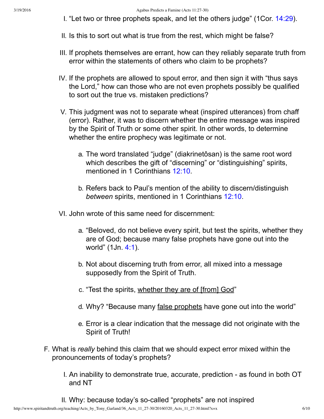- I. "Let two or three prophets speak, and let the others judge" (1Cor. [14:29\)](http://www.spiritandtruth.org/bibles/nasb/b46c014.htm#1Cor._C14V29).
- II. Is this to sort out what is true from the rest, which might be false?
- III. If prophets themselves are errant, how can they reliably separate truth from error within the statements of others who claim to be prophets?
- IV. If the prophets are allowed to spout error, and then sign it with "thus says the Lord," how can those who are not even prophets possibly be qualified to sort out the true vs. mistaken predictions?
- V. This judgment was not to separate wheat (inspired utterances) from chaff (error). Rather, it was to discern whether the entire message was inspired by the Spirit of Truth or some other spirit. In other words, to determine whether the entire prophecy was legitimate or not.
	- a. The word translated "judge" (diakrinetôsan) is the same root word which describes the gift of "discerning" or "distinguishing" spirits, mentioned in 1 Corinthians [12:10](http://www.spiritandtruth.org/bibles/nasb/b46c012.htm#1Cor._C12V10).
	- b. Refers back to Paul's mention of the ability to discern/distinguish *between* spirits, mentioned in 1 Corinthians [12:10.](http://www.spiritandtruth.org/bibles/nasb/b46c012.htm#1Cor._C12V10)
- VI. John wrote of this same need for discernment:
	- a. "Beloved, do not believe every spirit, but test the spirits, whether they are of God; because many false prophets have gone out into the world" (1Jn. [4:1](http://www.spiritandtruth.org/bibles/nasb/b62c004.htm#1Jn._C4V1)).
	- b. Not about discerning truth from error, all mixed into a message supposedly from the Spirit of Truth.
	- c. "Test the spirits, whether they are of [from] God"
	- d. Why? "Because many false prophets have gone out into the world"
	- e. Error is a clear indication that the message did not originate with the Spirit of Truth!
- F. What is *really* behind this claim that we should expect error mixed within the pronouncements of today's prophets?
	- I. An inability to demonstrate true, accurate, prediction as found in both OT and NT
	- II. Why: because today's so-called "prophets" are not inspired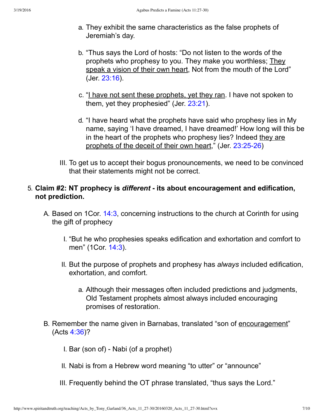- a. They exhibit the same characteristics as the false prophets of Jeremiah's day.
- b. "Thus says the Lord of hosts: "Do not listen to the words of the prophets who prophesy to you. They make you worthless; They speak a vision of their own heart, Not from the mouth of the Lord" (Jer. [23:16\)](http://www.spiritandtruth.org/bibles/nasb/b24c023.htm#Jer._C23V16).
- c. "<u>I have not sent these prophets, yet they ran</u>. I have not spoken to them, yet they prophesied" (Jer. [23:21\)](http://www.spiritandtruth.org/bibles/nasb/b24c023.htm#Jer._C23V21).
- d. "I have heard what the prophets have said who prophesy lies in My name, saying 'I have dreamed, I have dreamed!' How long will this be in the heart of the prophets who prophesy lies? Indeed they are prophets of the deceit of their own heart," (Jer. 23:25-26)
- III. To get us to accept their bogus pronouncements, we need to be convinced that their statements might not be correct.

# 5. **Claim #2: NT prophecy is** *different* **its about encouragement and edification, not prediction.**

- A. Based on 1Cor. [14:3,](http://www.spiritandtruth.org/bibles/nasb/b46c014.htm#1Cor._C14V3) concerning instructions to the church at Corinth for using the gift of prophecy
	- I. "But he who prophesies speaks edification and exhortation and comfort to men" (1Cor. [14:3](http://www.spiritandtruth.org/bibles/nasb/b46c014.htm#1Cor._C14V3)).
	- II. But the purpose of prophets and prophesy has *always* included edification, exhortation, and comfort.
		- a. Although their messages often included predictions and judgments, Old Testament prophets almost always included encouraging promises of restoration.
- B. Remember the name given in Barnabas, translated "son of encouragement" (Acts [4:36\)](http://www.spiritandtruth.org/bibles/nasb/b44c004.htm#Acts_C4V36)?
	- I. Bar (son of) Nabi (of a prophet)
	- II. Nabi is from a Hebrew word meaning "to utter" or "announce"
	- III. Frequently behind the OT phrase translated, "thus says the Lord."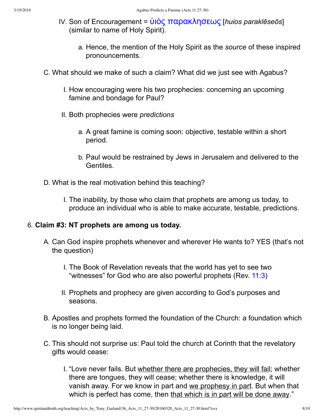- IV. Son of Encouragement = <u>ὑιὸς παρακλησεως</u> [*huios paraklēseōs*] (similar to name of Holy Spirit).
	- a. Hence, the mention of the Holy Spirit as the *source* of these inspired pronouncements.
- C. What should we make of such a claim? What did we just see with Agabus?
	- I. How encouraging were his two prophecies: concerning an upcoming famine and bondage for Paul?
	- II. Both prophecies were *predictions*
		- a. A great famine is coming soon: objective, testable within a short period.
		- b. Paul would be restrained by Jews in Jerusalem and delivered to the Gentiles.
- D. What is the real motivation behind this teaching?
	- I. The inability, by those who claim that prophets are among us today, to produce an individual who is able to make accurate, testable, predictions.

### 6. **Claim #3: NT prophets are among us today.**

- A. Can God inspire prophets whenever and wherever He wants to? YES (that's not the question)
	- I. The Book of Revelation reveals that the world has yet to see two "witnesses" for God who are also powerful prophets (Rev. [11:3](http://www.spiritandtruth.org/bibles/nasb/b66c011.htm#Rev._C11V3))
	- II. Prophets and prophecy are given according to God's purposes and seasons.
- B. Apostles and prophets formed the foundation of the Church: a foundation which is no longer being laid.
- C. This should not surprise us: Paul told the church at Corinth that the revelatory gifts would cease:
	- I. "Love never fails. But whether there are prophecies, they will fail; whether there are tongues, they will cease; whether there is knowledge, it will vanish away. For we know in part and we prophesy in part. But when that which is perfect has come, then that which is in part will be done away."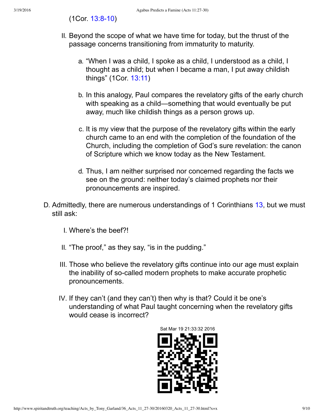### (1Cor. 13:8-10)

- II. Beyond the scope of what we have time for today, but the thrust of the passage concerns transitioning from immaturity to maturity.
	- a. "When I was a child, I spoke as a child, I understood as a child, I thought as a child; but when I became a man, I put away childish things" (1Cor. [13:11](http://www.spiritandtruth.org/bibles/nasb/b46c013.htm#1Cor._C13V11))
	- b. In this analogy, Paul compares the revelatory gifts of the early church with speaking as a child—something that would eventually be put away, much like childish things as a person grows up.
	- c. It is my view that the purpose of the revelatory gifts within the early church came to an end with the completion of the foundation of the Church, including the completion of God's sure revelation: the canon of Scripture which we know today as the New Testament.
	- d. Thus, I am neither surprised nor concerned regarding the facts we see on the ground: neither today's claimed prophets nor their pronouncements are inspired.
- D. Admittedly, there are numerous understandings of 1 Corinthians [13](http://www.spiritandtruth.org/bibles/nasb/b46c013.htm#1Cor._C13V1), but we must still ask:
	- I. Where's the beef?!
	- II. "The proof," as they say, "is in the pudding."
	- III. Those who believe the revelatory gifts continue into our age must explain the inability of so-called modern prophets to make accurate prophetic pronouncements.
	- IV. If they can't (and they can't) then why is that? Could it be one's understanding of what Paul taught concerning when the revelatory gifts would cease is incorrect?